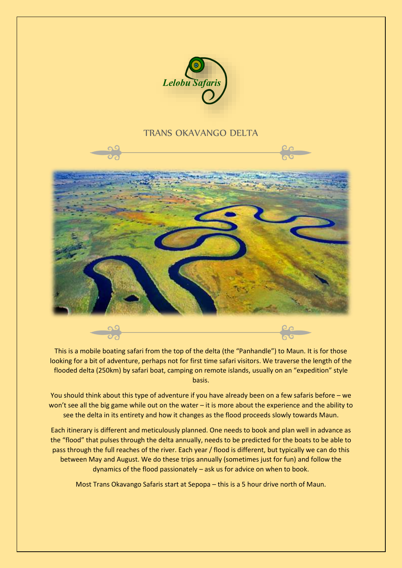

# TRANS OKAVANGO DELTA



This is a mobile boating safari from the top of the delta (the "Panhandle") to Maun. It is for those looking for a bit of adventure, perhaps not for first time safari visitors. We traverse the length of the flooded delta (250km) by safari boat, camping on remote islands, usually on an "expedition" style basis.

You should think about this type of adventure if you have already been on a few safaris before – we won't see all the big game while out on the water – it is more about the experience and the ability to see the delta in its entirety and how it changes as the flood proceeds slowly towards Maun.

Each itinerary is different and meticulously planned. One needs to book and plan well in advance as the "flood" that pulses through the delta annually, needs to be predicted for the boats to be able to pass through the full reaches of the river. Each year / flood is different, but typically we can do this between May and August. We do these trips annually (sometimes just for fun) and follow the dynamics of the flood passionately – ask us for advice on when to book.

Most Trans Okavango Safaris start at Sepopa – this is a 5 hour drive north of Maun.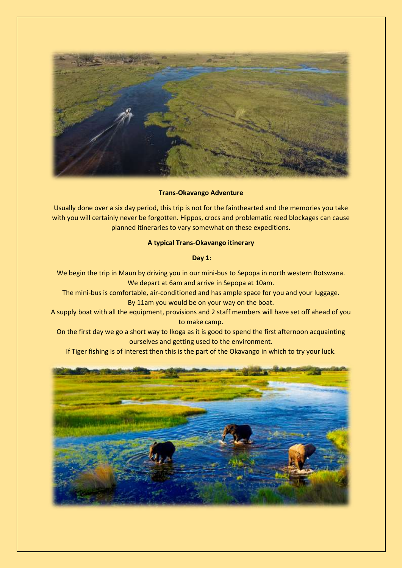

**Trans-Okavango Adventure**

Usually done over a six day period, this trip is not for the fainthearted and the memories you take with you will certainly never be forgotten. Hippos, crocs and problematic reed blockages can cause planned itineraries to vary somewhat on these expeditions.

## **A typical Trans-Okavango itinerary**

### **Day 1:**

We begin the trip in Maun by driving you in our mini-bus to Sepopa in north western Botswana. We depart at 6am and arrive in Sepopa at 10am.

The mini-bus is comfortable, air-conditioned and has ample space for you and your luggage. By 11am you would be on your way on the boat.

A supply boat with all the equipment, provisions and 2 staff members will have set off ahead of you to make camp.

On the first day we go a short way to Ikoga as it is good to spend the first afternoon acquainting ourselves and getting used to the environment.

If Tiger fishing is of interest then this is the part of the Okavango in which to try your luck.

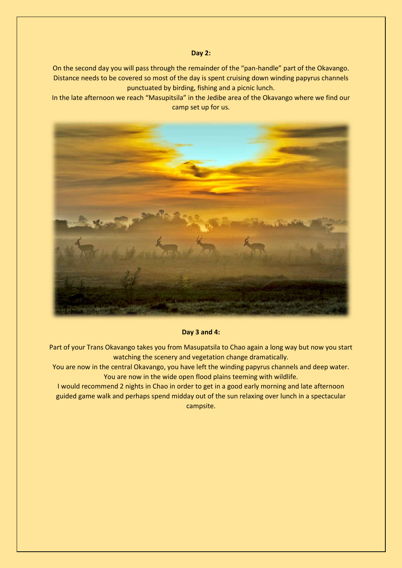#### **Day 2:**

On the second day you will pass through the remainder of the "pan-handle" part of the Okavango. Distance needs to be covered so most of the day is spent cruising down winding papyrus channels punctuated by birding, fishing and a picnic lunch.

In the late afternoon we reach "Masupitsila" in the Jedibe area of the Okavango where we find our camp set up for us.



**Day 3 and 4:**

Part of your Trans Okavango takes you from Masupatsila to Chao again a long way but now you start watching the scenery and vegetation change dramatically.

You are now in the central Okavango, you have left the winding papyrus channels and deep water. You are now in the wide open flood plains teeming with wildlife.

I would recommend 2 nights in Chao in order to get in a good early morning and late afternoon guided game walk and perhaps spend midday out of the sun relaxing over lunch in a spectacular campsite.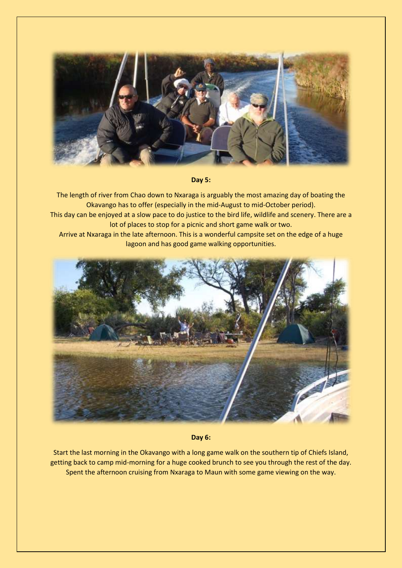

**Day 5:**

The length of river from Chao down to Nxaraga is arguably the most amazing day of boating the Okavango has to offer (especially in the mid-August to mid-October period).

Arrive at Nxaraga in the late afternoon. This is a wonderful campsite set on the edge of a huge lagoon and has good game walking opportunities.



**Day 6:**

Start the last morning in the Okavango with a long game walk on the southern tip of Chiefs Island, getting back to camp mid-morning for a huge cooked brunch to see you through the rest of the day. Spent the afternoon cruising from Nxaraga to Maun with some game viewing on the way.

This day can be enjoyed at a slow pace to do justice to the bird life, wildlife and scenery. There are a lot of places to stop for a picnic and short game walk or two.